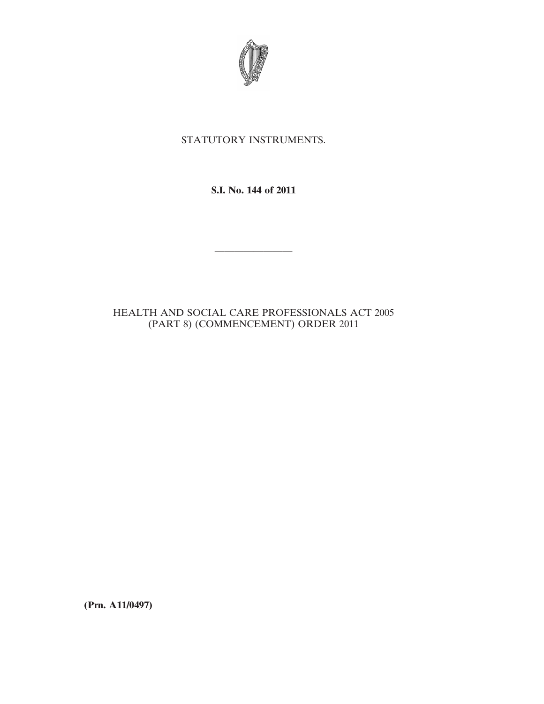

## STATUTORY INSTRUMENTS.

**S.I. No. 144 of 2011**

————————

## HEALTH AND SOCIAL CARE PROFESSIONALS ACT 2005 (PART 8) (COMMENCEMENT) ORDER 2011

**(Prn. A11/0497)**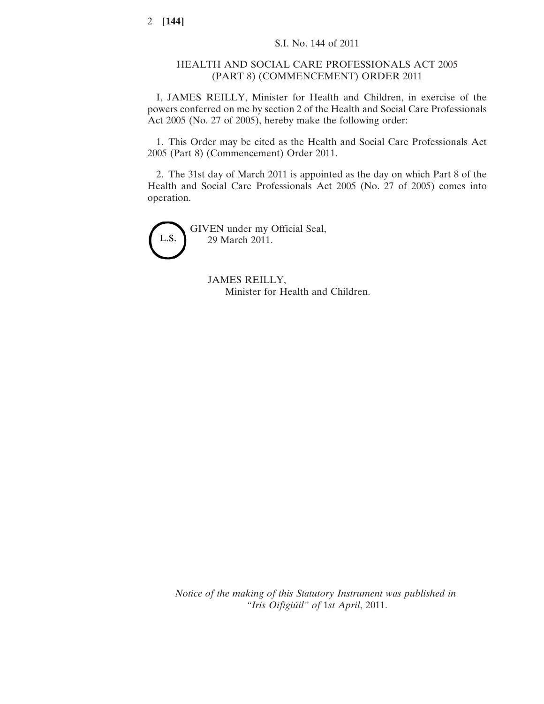## HEALTH AND SOCIAL CARE PROFESSIONALS ACT 2005 (PART 8) (COMMENCEMENT) ORDER 2011

I, JAMES REILLY, Minister for Health and Children, in exercise of the powers conferred on me by section 2 of the Health and Social Care Professionals Act 2005 (No. 27 of 2005), hereby make the following order:

1. This Order may be cited as the Health and Social Care Professionals Act 2005 (Part 8) (Commencement) Order 2011.

2. The 31st day of March 2011 is appointed as the day on which Part 8 of the Health and Social Care Professionals Act 2005 (No. 27 of 2005) comes into operation.



GIVEN under my Official Seal, 29 March 2011.

> JAMES REILLY, Minister for Health and Children.

*Notice of the making of this Statutory Instrument was published in "Iris Oifigiúil" of* 1*st April*, 2011.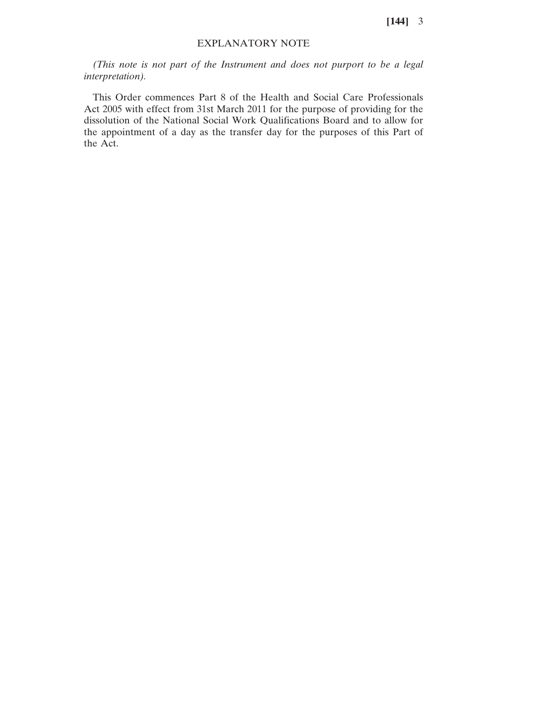**[144]** 3

## EXPLANATORY NOTE

*(This note is not part of the Instrument and does not purport to be a legal interpretation).*

This Order commences Part 8 of the Health and Social Care Professionals Act 2005 with effect from 31st March 2011 for the purpose of providing for the dissolution of the National Social Work Qualifications Board and to allow for the appointment of a day as the transfer day for the purposes of this Part of the Act.